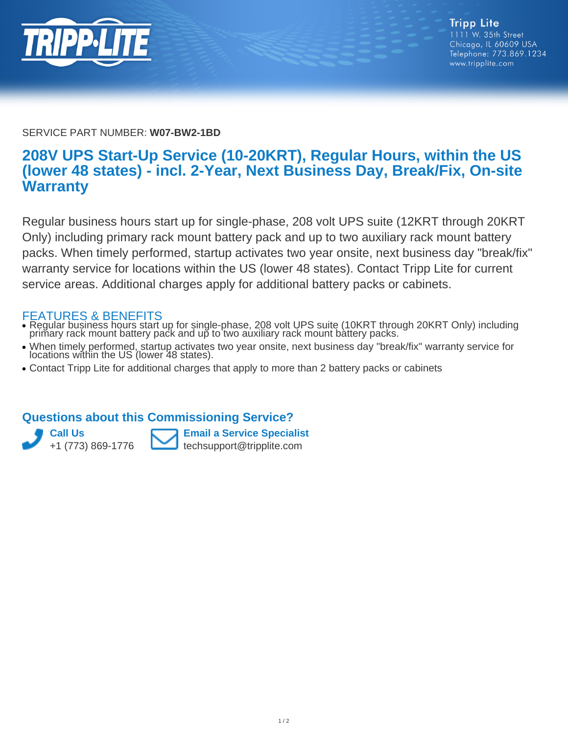

SERVICE PART NUMBER: **W07-BW2-1BD**

## **208V UPS Start-Up Service (10-20KRT), Regular Hours, within the US (lower 48 states) - incl. 2-Year, Next Business Day, Break/Fix, On-site Warranty**

Regular business hours start up for single-phase, 208 volt UPS suite (12KRT through 20KRT Only) including primary rack mount battery pack and up to two auxiliary rack mount battery packs. When timely performed, startup activates two year onsite, next business day "break/fix" warranty service for locations within the US (lower 48 states). Contact Tripp Lite for current service areas. Additional charges apply for additional battery packs or cabinets.

## FEATURES & BENEFITS

- Regular business hours start up for single-phase, 208 volt UPS suite (10KRT through 20KRT Only) including primary rack mount battery pack and up to two auxiliary rack mount battery packs. ●
- When timely performed, startup activates two year onsite, next business day "break/fix" warranty service for • when timely performed, startup activates<br>locations within the US (lower 48 states).
- Contact Tripp Lite for additional charges that apply to more than 2 battery packs or cabinets

## **Questions about this Commissioning Service?**



**Email a Service Specialist** techsupport@tripplite.com